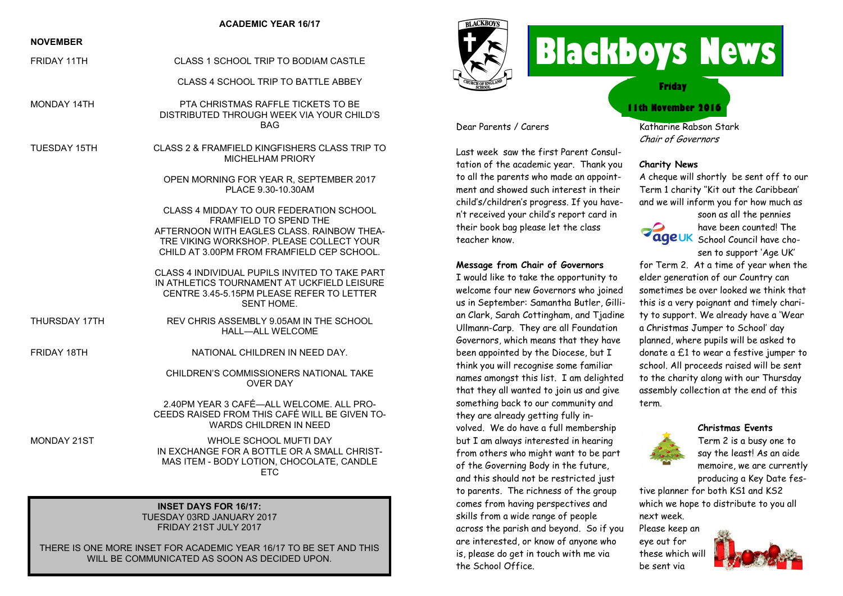#### **ACADEMIC YEAR 16/17**

### **NOVEMBER**

FRIDAY 11TH CLASS 1 SCHOOL TRIP TO BODIAM CASTLE

CLASS 4 SCHOOL TRIP TO BATTLE ABBEY

- MONDAY 14TH PTA CHRISTMAS RAFFLE TICKETS TO BE DISTRIBUTED THROUGH WEEK VIA YOUR CHILD'S **BAG**
- TUESDAY 15TH CLASS 2 & FRAMFIELD KINGFISHERS CLASS TRIP TO MICHEL HAM PRIORY
	- OPEN MORNING FOR YEAR R, SEPTEMBER 2017 PLACE 9.30-10.30AM

CLASS 4 MIDDAY TO OUR FEDERATION SCHOOL FRAMFIELD TO SPEND THE AFTERNOON WITH FAGLES CLASS. RAINBOW THEA-TRE VIKING WORKSHOP. PLEASE COLLECT YOUR CHILD AT 3.00PM FROM FRAMFIELD CEP SCHOOL.

CLASS 4 INDIVIDUAL PUPILS INVITED TO TAKE PART IN ATHLETICS TOURNAMENT AT UCKFIELD LEISURE CENTRE 3.45-5.15PM PLEASE REFER TO LETTER SENT HOME.

THURSDAY 17TH REV CHRIS ASSEMBLY 9.05AM IN THE SCHOOL HALL—ALL WELCOME

#### FRIDAY 18TH NATIONAL CHILDREN IN NEED DAY.

CHILDREN'S COMMISSIONERS NATIONAL TAKE OVER DAY

2.40PM YEAR 3 CAFÉ—ALL WELCOME. ALL PRO-CEEDS RAISED FROM THIS CAFÉ WILL BE GIVEN TO-WARDS CHILDREN IN NEED

MONDAY 21ST WHOLE SCHOOL MUFTI DAY IN EXCHANGE FOR A BOTTLE OR A SMALL CHRIST-MAS ITEM - BODY LOTION, CHOCOLATE, CANDLE **ETC** 

#### **INSET DAYS FOR 16/17:** TUESDAY 03RD JANUARY 2017 FRIDAY 21ST JULY 2017

THERE IS ONE MORE INSET FOR ACADEMIC YEAR 16/17 TO BE SET AND THIS WILL BE COMMUNICATED AS SOON AS DECIDED UPON.



teacher know.

the School Office.

Dear Parents / Carers

Last week saw the first Parent Consultation of the academic year. Thank you to all the parents who made an appointment and showed such interest in their child's/children's progress. If you haven't received your child's report card in their book bag please let the class

**Message from Chair of Governors** I would like to take the opportunity to welcome four new Governors who joined us in September: Samantha Butler, Gillian Clark, Sarah Cottingham, and Tjadine Ullmann-Carp. They are all Foundation Governors, which means that they have been appointed by the Diocese, but I think you will recognise some familiar names amongst this list. I am delighted that they all wanted to join us and give something back to our community and they are already getting fully involved. We do have a full membership but I am always interested in hearing from others who might want to be part of the Governing Body in the future, and this should not be restricted just to parents. The richness of the group comes from having perspectives and skills from a wide range of people across the parish and beyond. So if you are interested, or know of anyone who is, please do get in touch with me via

# **Blackboys News**

**Friday**

## **11th November 2016**

Katharine Rabson Stark Chair of Governors

#### **Charity News**

A cheque will shortly be sent off to our Term 1 charity ''Kit out the Caribbean' and we will inform you for how much as



soon as all the pennies have been counted! The ageUK School Council have chosen to support 'Age UK'

for Term 2. At a time of year when the elder generation of our Country can sometimes be over looked we think that this is a very poignant and timely charity to support. We already have a 'Wear a Christmas Jumper to School' day planned, where pupils will be asked to donate a £1 to wear a festive jumper to school. All proceeds raised will be sent to the charity along with our Thursday assembly collection at the end of this term.



Term 2 is a busy one to say the least! As an aide memoire, we are currently producing a Key Date fes-

**Christmas Events**

tive planner for both KS1 and KS2 which we hope to distribute to you all next week.

Please keep an eye out for these which will be sent via